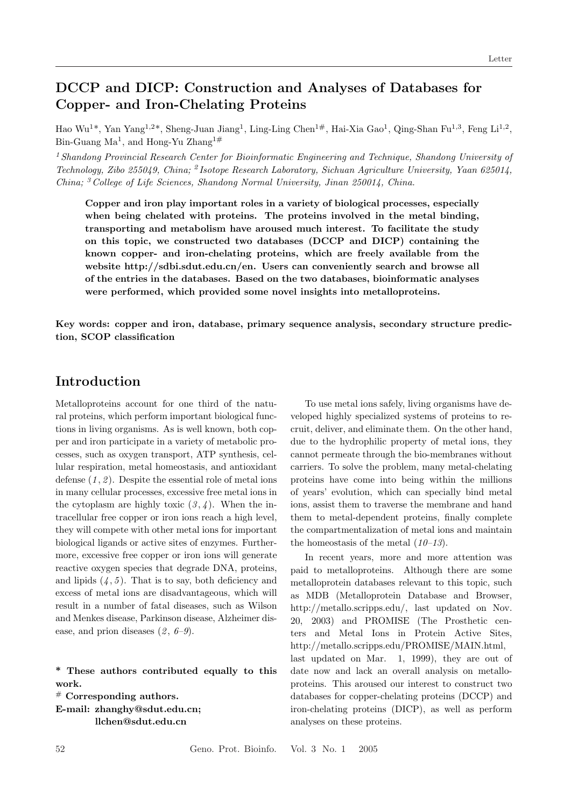# DCCP and DICP: Construction and Analyses of Databases for Copper- and Iron-Chelating Proteins

Hao Wu<sup>1\*</sup>, Yan Yang<sup>1,2\*</sup>, Sheng-Juan Jiang<sup>1</sup>, Ling-Ling Chen<sup>1#</sup>, Hai-Xia Gao<sup>1</sup>, Qing-Shan Fu<sup>1,3</sup>, Feng Li<sup>1,2</sup>, Bin-Guang Ma<sup>1</sup>, and Hong-Yu Zhang<sup>1#</sup>

<sup>1</sup> Shandong Provincial Research Center for Bioinformatic Engineering and Technique, Shandong University of Technology, Zibo 255049, China; <sup>2</sup> Isotope Research Laboratory, Sichuan Agriculture University, Yaan 625014, China; <sup>3</sup>College of Life Sciences, Shandong Normal University, Jinan 250014, China.

Copper and iron play important roles in a variety of biological processes, especially when being chelated with proteins. The proteins involved in the metal binding, transporting and metabolism have aroused much interest. To facilitate the study on this topic, we constructed two databases (DCCP and DICP) containing the known copper- and iron-chelating proteins, which are freely available from the website http://sdbi.sdut.edu.cn/en. Users can conveniently search and browse all of the entries in the databases. Based on the two databases, bioinformatic analyses were performed, which provided some novel insights into metalloproteins.

Key words: copper and iron, database, primary sequence analysis, secondary structure prediction, SCOP classification

# Introduction

Metalloproteins account for one third of the natural proteins, which perform important biological functions in living organisms. As is well known, both copper and iron participate in a variety of metabolic processes, such as oxygen transport, ATP synthesis, cellular respiration, metal homeostasis, and antioxidant defense  $(1, 2)$ . Despite the essential role of metal ions in many cellular processes, excessive free metal ions in the cytoplasm are highly toxic  $(3, 4)$ . When the intracellular free copper or iron ions reach a high level, they will compete with other metal ions for important biological ligands or active sites of enzymes. Furthermore, excessive free copper or iron ions will generate reactive oxygen species that degrade DNA, proteins, and lipids  $(4, 5)$ . That is to say, both deficiency and excess of metal ions are disadvantageous, which will result in a number of fatal diseases, such as Wilson and Menkes disease, Parkinson disease, Alzheimer disease, and prion diseases  $(2, 6-9)$ .

\* These authors contributed equally to this work.

```
# Corresponding authors.
```
E-mail: zhanghy@sdut.edu.cn; llchen@sdut.edu.cn

To use metal ions safely, living organisms have developed highly specialized systems of proteins to recruit, deliver, and eliminate them. On the other hand, due to the hydrophilic property of metal ions, they cannot permeate through the bio-membranes without carriers. To solve the problem, many metal-chelating proteins have come into being within the millions of years' evolution, which can specially bind metal ions, assist them to traverse the membrane and hand them to metal-dependent proteins, finally complete the compartmentalization of metal ions and maintain the homeostasis of the metal  $(10-13)$ .

In recent years, more and more attention was paid to metalloproteins. Although there are some metalloprotein databases relevant to this topic, such as MDB (Metalloprotein Database and Browser, http://metallo.scripps.edu/, last updated on Nov. 20, 2003) and PROMISE (The Prosthetic centers and Metal Ions in Protein Active Sites, http://metallo.scripps.edu/PROMISE/MAIN.html, last updated on Mar. 1, 1999), they are out of date now and lack an overall analysis on metalloproteins. This aroused our interest to construct two databases for copper-chelating proteins (DCCP) and iron-chelating proteins (DICP), as well as perform analyses on these proteins.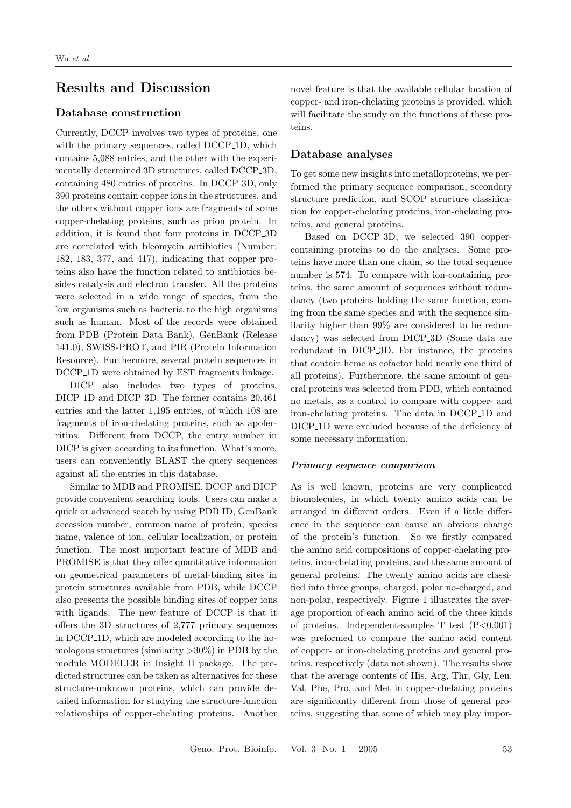# Results and Discussion

## Database construction

Currently, DCCP involves two types of proteins, one with the primary sequences, called DCCP<sub>-1</sub>D, which contains 5,088 entries, and the other with the experimentally determined 3D structures, called DCCP 3D, containing 480 entries of proteins. In DCCP 3D, only 390 proteins contain copper ions in the structures, and the others without copper ions are fragments of some copper-chelating proteins, such as prion protein. In addition, it is found that four proteins in DCCP 3D are correlated with bleomycin antibiotics (Number: 182, 183, 377, and 417), indicating that copper proteins also have the function related to antibiotics besides catalysis and electron transfer. All the proteins were selected in a wide range of species, from the low organisms such as bacteria to the high organisms such as human. Most of the records were obtained from PDB (Protein Data Bank), GenBank (Release 141.0), SWISS-PROT, and PIR (Protein Information Resource). Furthermore, several protein sequences in DCCP 1D were obtained by EST fragments linkage.

DICP also includes two types of proteins, DICP 1D and DICP 3D. The former contains 20,461 entries and the latter 1,195 entries, of which 108 are fragments of iron-chelating proteins, such as apoferritins. Different from DCCP, the entry number in DICP is given according to its function. What's more, users can conveniently BLAST the query sequences against all the entries in this database.

Similar to MDB and PROMISE, DCCP and DICP provide convenient searching tools. Users can make a quick or advanced search by using PDB ID, GenBank accession number, common name of protein, species name, valence of ion, cellular localization, or protein function. The most important feature of MDB and PROMISE is that they offer quantitative information on geometrical parameters of metal-binding sites in protein structures available from PDB, while DCCP also presents the possible binding sites of copper ions with ligands. The new feature of DCCP is that it offers the 3D structures of 2,777 primary sequences in DCCP 1D, which are modeled according to the homologous structures (similarity  $>30\%$ ) in PDB by the module MODELER in Insight II package. The predicted structures can be taken as alternatives for these structure-unknown proteins, which can provide detailed information for studying the structure-function relationships of copper-chelating proteins. Another

novel feature is that the available cellular location of copper- and iron-chelating proteins is provided, which will facilitate the study on the functions of these proteins.

### Database analyses

To get some new insights into metalloproteins, we performed the primary sequence comparison, secondary structure prediction, and SCOP structure classification for copper-chelating proteins, iron-chelating proteins, and general proteins.

Based on DCCP 3D, we selected 390 coppercontaining proteins to do the analyses. Some proteins have more than one chain, so the total sequence number is 574. To compare with ion-containing proteins, the same amount of sequences without redundancy (two proteins holding the same function, coming from the same species and with the sequence similarity higher than 99% are considered to be redundancy) was selected from DICP 3D (Some data are redundant in DICP 3D. For instance, the proteins that contain heme as cofactor hold nearly one third of all proteins). Furthermore, the same amount of general proteins was selected from PDB, which contained no metals, as a control to compare with copper- and iron-chelating proteins. The data in DCCP 1D and DICP 1D were excluded because of the deficiency of some necessary information.

#### Primary sequence comparison

As is well known, proteins are very complicated biomolecules, in which twenty amino acids can be arranged in different orders. Even if a little difference in the sequence can cause an obvious change of the protein's function. So we firstly compared the amino acid compositions of copper-chelating proteins, iron-chelating proteins, and the same amount of general proteins. The twenty amino acids are classified into three groups, charged, polar no-charged, and non-polar, respectively. Figure 1 illustrates the average proportion of each amino acid of the three kinds of proteins. Independent-samples  $T$  test  $(P<0.001)$ was preformed to compare the amino acid content of copper- or iron-chelating proteins and general proteins, respectively (data not shown). The results show that the average contents of His, Arg, Thr, Gly, Leu, Val, Phe, Pro, and Met in copper-chelating proteins are significantly different from those of general proteins, suggesting that some of which may play impor-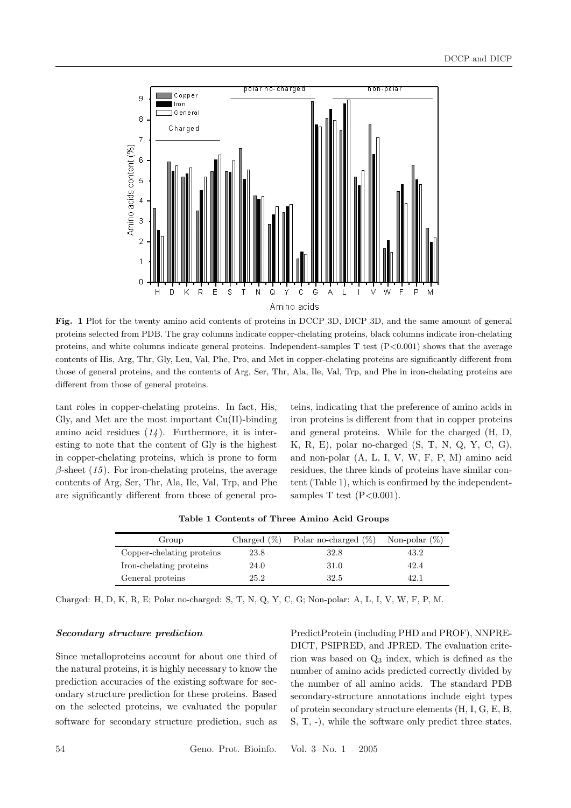

Fig. 1 Plot for the twenty amino acid contents of proteins in DCCP 3D, DICP 3D, and the same amount of general proteins selected from PDB. The gray columns indicate copper-chelating proteins, black columns indicate iron-chelating proteins, and white columns indicate general proteins. Independent-samples  $T$  test  $(P<0.001)$  shows that the average contents of His, Arg, Thr, Gly, Leu, Val, Phe, Pro, and Met in copper-chelating proteins are significantly different from those of general proteins, and the contents of Arg, Ser, Thr, Ala, Ile, Val, Trp, and Phe in iron-chelating proteins are different from those of general proteins.

tant roles in copper-chelating proteins. In fact, His, Gly, and Met are the most important Cu(II)-binding amino acid residues  $(14)$ . Furthermore, it is interesting to note that the content of Gly is the highest in copper-chelating proteins, which is prone to form  $\beta$ -sheet (15). For iron-chelating proteins, the average contents of Arg, Ser, Thr, Ala, Ile, Val, Trp, and Phe are significantly different from those of general proteins, indicating that the preference of amino acids in iron proteins is different from that in copper proteins and general proteins. While for the charged (H, D,  $K, R, E$ ), polar no-charged  $(S, T, N, Q, Y, C, G)$ , and non-polar (A, L, I, V, W, F, P, M) amino acid residues, the three kinds of proteins have similar content (Table 1), which is confirmed by the independentsamples T test  $(P<0.001)$ .

| Table 1 Contents of Three Amino Acid Groups |  |
|---------------------------------------------|--|
|---------------------------------------------|--|

| Group                     | Charged $(\%)$ | Polar no-charged $(\%)$ | Non-polar $(\%)$ |
|---------------------------|----------------|-------------------------|------------------|
| Copper-chelating proteins | 23.8           | 32.8                    | 43.2             |
| Iron-chelating proteins   | 24.0           | 31.0                    | 42.4             |
| General proteins          | 25.2           | 32.5                    | 42.1             |

Charged: H, D, K, R, E; Polar no-charged: S, T, N, Q, Y, C, G; Non-polar: A, L, I, V, W, F, P, M.

#### Secondary structure prediction

Since metalloproteins account for about one third of the natural proteins, it is highly necessary to know the prediction accuracies of the existing software for secondary structure prediction for these proteins. Based on the selected proteins, we evaluated the popular software for secondary structure prediction, such as

PredictProtein (including PHD and PROF), NNPRE-DICT, PSIPRED, and JPRED. The evaluation criterion was based on  $Q_3$  index, which is defined as the number of amino acids predicted correctly divided by the number of all amino acids. The standard PDB secondary-structure annotations include eight types of protein secondary structure elements (H, I, G, E, B, S, T, -), while the software only predict three states,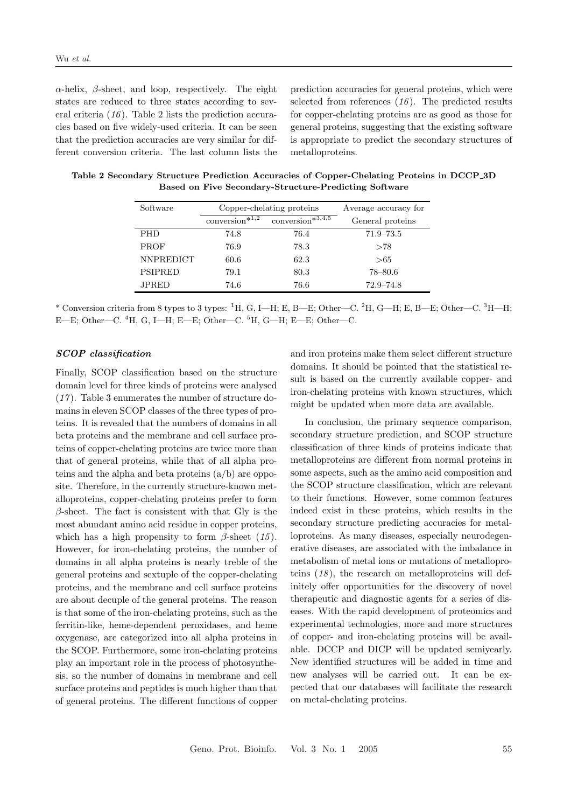$\alpha$ -helix,  $\beta$ -sheet, and loop, respectively. The eight states are reduced to three states according to several criteria  $(16)$ . Table 2 lists the prediction accuracies based on five widely-used criteria. It can be seen that the prediction accuracies are very similar for different conversion criteria. The last column lists the prediction accuracies for general proteins, which were selected from references  $(16)$ . The predicted results for copper-chelating proteins are as good as those for general proteins, suggesting that the existing software is appropriate to predict the secondary structures of metalloproteins.

Table 2 Secondary Structure Prediction Accuracies of Copper-Chelating Proteins in DCCP 3D Based on Five Secondary-Structure-Predicting Software

| Software         | Copper-chelating proteins |                              | Average accuracy for |
|------------------|---------------------------|------------------------------|----------------------|
|                  | $conversion^{*1,2}$       | conversion <sup>*3,4,5</sup> | General proteins     |
| <b>PHD</b>       | 74.8                      | 76.4                         | $71.9 - 73.5$        |
| <b>PROF</b>      | 76.9                      | 78.3                         | >78                  |
| <b>NNPREDICT</b> | 60.6                      | 62.3                         | >65                  |
| PSIPRED          | 79.1                      | 80.3                         | $78 - 80.6$          |
| JPRED            | 74.6                      | 76.6                         | $72.9 - 74.8$        |

\* Conversion criteria from 8 types to 3 types:  ${}^{1}H$ , G, I—H; E, B—E; Other—C.  ${}^{2}H$ , G—H; E, B—E; Other—C.  ${}^{3}H$ —H; E—E; Other—C. <sup>4</sup>H, G, I—H; E—E; Other—C. <sup>5</sup>H, G—H; E—E; Other—C.

## SCOP classification

Finally, SCOP classification based on the structure domain level for three kinds of proteins were analysed  $(17)$ . Table 3 enumerates the number of structure domains in eleven SCOP classes of the three types of proteins. It is revealed that the numbers of domains in all beta proteins and the membrane and cell surface proteins of copper-chelating proteins are twice more than that of general proteins, while that of all alpha proteins and the alpha and beta proteins (a/b) are opposite. Therefore, in the currently structure-known metalloproteins, copper-chelating proteins prefer to form  $\beta$ -sheet. The fact is consistent with that Gly is the most abundant amino acid residue in copper proteins, which has a high propensity to form  $\beta$ -sheet (15). However, for iron-chelating proteins, the number of domains in all alpha proteins is nearly treble of the general proteins and sextuple of the copper-chelating proteins, and the membrane and cell surface proteins are about decuple of the general proteins. The reason is that some of the iron-chelating proteins, such as the ferritin-like, heme-dependent peroxidases, and heme oxygenase, are categorized into all alpha proteins in the SCOP. Furthermore, some iron-chelating proteins play an important role in the process of photosynthesis, so the number of domains in membrane and cell surface proteins and peptides is much higher than that of general proteins. The different functions of copper

and iron proteins make them select different structure domains. It should be pointed that the statistical result is based on the currently available copper- and iron-chelating proteins with known structures, which might be updated when more data are available.

In conclusion, the primary sequence comparison, secondary structure prediction, and SCOP structure classification of three kinds of proteins indicate that metalloproteins are different from normal proteins in some aspects, such as the amino acid composition and the SCOP structure classification, which are relevant to their functions. However, some common features indeed exist in these proteins, which results in the secondary structure predicting accuracies for metalloproteins. As many diseases, especially neurodegenerative diseases, are associated with the imbalance in metabolism of metal ions or mutations of metalloproteins  $(18)$ , the research on metalloproteins will definitely offer opportunities for the discovery of novel therapeutic and diagnostic agents for a series of diseases. With the rapid development of proteomics and experimental technologies, more and more structures of copper- and iron-chelating proteins will be available. DCCP and DICP will be updated semiyearly. New identified structures will be added in time and new analyses will be carried out. It can be expected that our databases will facilitate the research on metal-chelating proteins.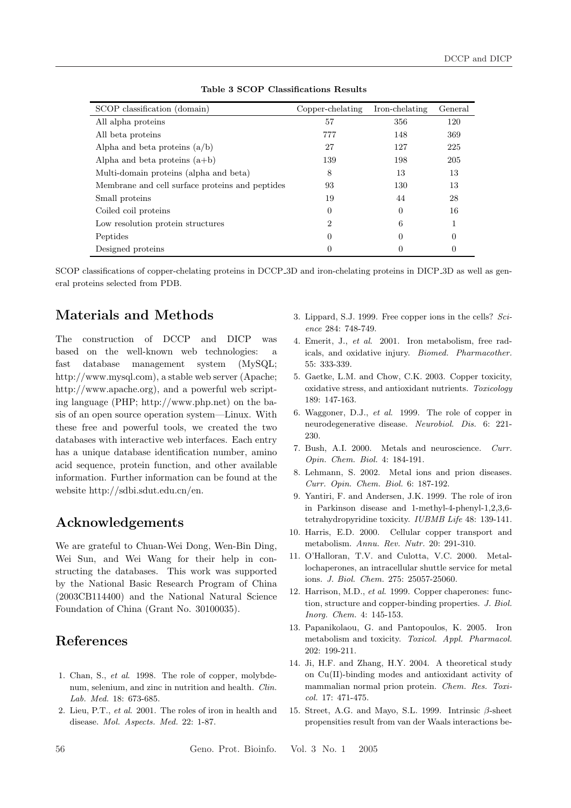| SCOP classification (domain)                    | Copper-chelating | Iron-chelating | General  |
|-------------------------------------------------|------------------|----------------|----------|
| All alpha proteins                              | 57               | 356            | 120      |
| All beta proteins                               | 777              | 148            | 369      |
| Alpha and beta proteins $(a/b)$                 | 27               | 127            | 225      |
| Alpha and beta proteins $(a+b)$                 | 139              | 198            | 205      |
| Multi-domain proteins (alpha and beta)          | 8                | 13             | 13       |
| Membrane and cell surface proteins and peptides | 93               | 130            | 13       |
| Small proteins                                  | 19               | 44             | 28       |
| Coiled coil proteins                            | 0                | 0              | 16       |
| Low resolution protein structures               | $\overline{2}$   | 6              |          |
| Peptides                                        | 0                | 0              | $\Omega$ |
| Designed proteins                               | 0                | 0              | 0        |

Table 3 SCOP Classifications Results

SCOP classifications of copper-chelating proteins in DCCP 3D and iron-chelating proteins in DICP 3D as well as general proteins selected from PDB.

# Materials and Methods

The construction of DCCP and DICP was based on the well-known web technologies: a fast database management system (MySQL; http://www.mysql.com), a stable web server (Apache; http://www.apache.org), and a powerful web scripting language (PHP; http://www.php.net) on the basis of an open source operation system—Linux. With these free and powerful tools, we created the two databases with interactive web interfaces. Each entry has a unique database identification number, amino acid sequence, protein function, and other available information. Further information can be found at the website http://sdbi.sdut.edu.cn/en.

## Acknowledgements

We are grateful to Chuan-Wei Dong, Wen-Bin Ding, Wei Sun, and Wei Wang for their help in constructing the databases. This work was supported by the National Basic Research Program of China (2003CB114400) and the National Natural Science Foundation of China (Grant No. 30100035).

## References

- 1. Chan, S., et al. 1998. The role of copper, molybdenum, selenium, and zinc in nutrition and health. Clin. Lab. Med. 18: 673-685.
- 2. Lieu, P.T., et al. 2001. The roles of iron in health and disease. Mol. Aspects. Med. 22: 1-87.
- 3. Lippard, S.J. 1999. Free copper ions in the cells? Science 284: 748-749.
- 4. Emerit, J., et al. 2001. Iron metabolism, free radicals, and oxidative injury. Biomed. Pharmacother. 55: 333-339.
- 5. Gaetke, L.M. and Chow, C.K. 2003. Copper toxicity, oxidative stress, and antioxidant nutrients. Toxicology 189: 147-163.
- 6. Waggoner, D.J., et al. 1999. The role of copper in neurodegenerative disease. Neurobiol. Dis. 6: 221- 230.
- 7. Bush, A.I. 2000. Metals and neuroscience. Curr. Opin. Chem. Biol. 4: 184-191.
- 8. Lehmann, S. 2002. Metal ions and prion diseases. Curr. Opin. Chem. Biol. 6: 187-192.
- 9. Yantiri, F. and Andersen, J.K. 1999. The role of iron in Parkinson disease and 1-methyl-4-phenyl-1,2,3,6 tetrahydropyridine toxicity. IUBMB Life 48: 139-141.
- 10. Harris, E.D. 2000. Cellular copper transport and metabolism. Annu. Rev. Nutr. 20: 291-310.
- 11. O'Halloran, T.V. and Culotta, V.C. 2000. Metallochaperones, an intracellular shuttle service for metal ions. J. Biol. Chem. 275: 25057-25060.
- 12. Harrison, M.D., et al. 1999. Copper chaperones: function, structure and copper-binding properties. J. Biol. Inorg. Chem. 4: 145-153.
- 13. Papanikolaou, G. and Pantopoulos, K. 2005. Iron metabolism and toxicity. Toxicol. Appl. Pharmacol. 202: 199-211.
- 14. Ji, H.F. and Zhang, H.Y. 2004. A theoretical study on Cu(II)-binding modes and antioxidant activity of mammalian normal prion protein. Chem. Res. Toxicol. 17: 471-475.
- 15. Street, A.G. and Mayo, S.L. 1999. Intrinsic β-sheet propensities result from van der Waals interactions be-